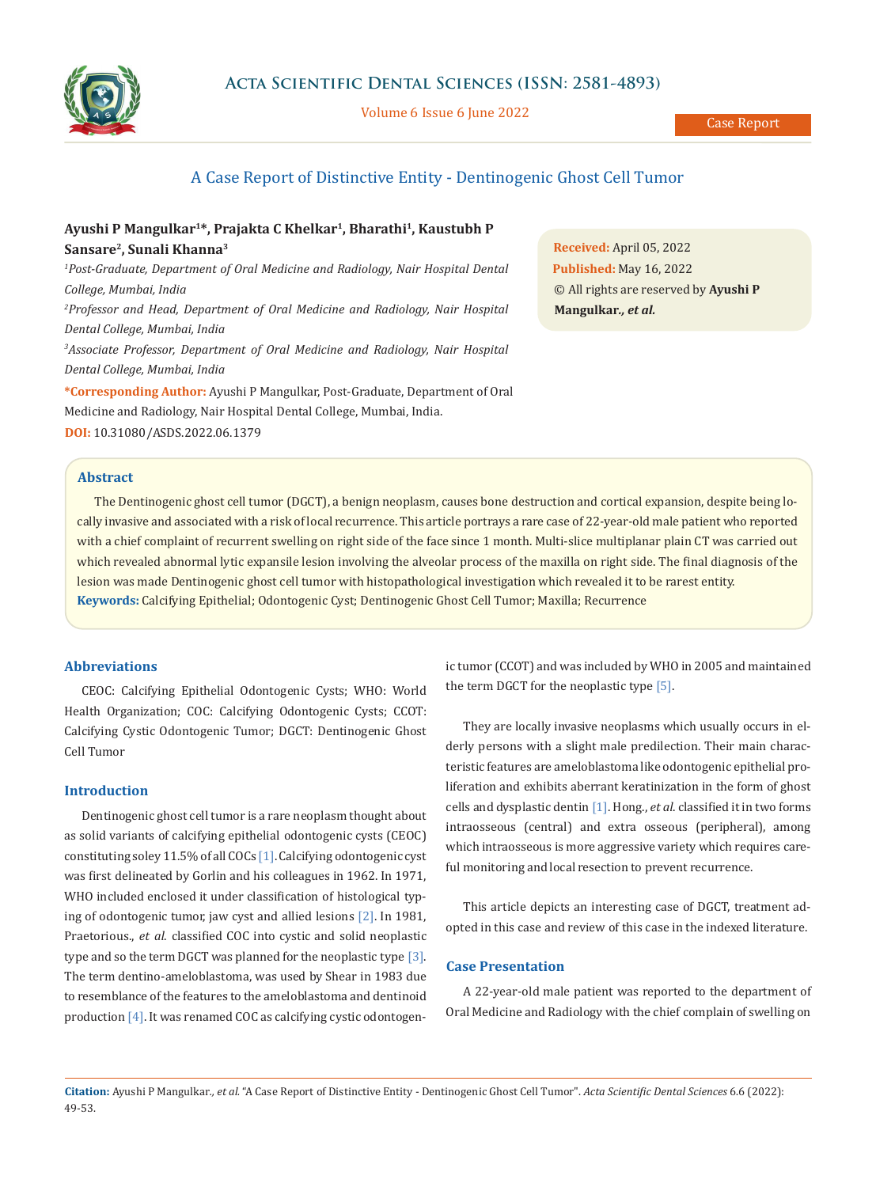

Volume 6 Issue 6 June 2022

## A Case Report of Distinctive Entity - Dentinogenic Ghost Cell Tumor

# **Ayushi P Mangulkar1\*, Prajakta C Khelkar1, Bharathi1, Kaustubh P Sansare2, Sunali Khanna3**

<sup>1</sup> Post-Graduate, Department of Oral Medicine and Radiology, Nair Hospital Dental *College, Mumbai, India* <sup>2</sup> Professor and Head, Department of Oral Medicine and Radiology, Nair Hospital *Dental College, Mumbai, India 3 Associate Professor, Department of Oral Medicine and Radiology, Nair Hospital Dental College, Mumbai, India* **\*Corresponding Author:** Ayushi P Mangulkar, Post-Graduate, Department of Oral

Medicine and Radiology, Nair Hospital Dental College, Mumbai, India. **DOI:** [10.31080/ASDS.2022.06.1379](https://actascientific.com/ASDS/pdf/ASDS-06-1379.pdf)

**Abstract**

**Received:** April 05, 2022 **Published:** May 16, 2022 © All rights are reserved by **Ayushi P Mangulkar***., et al.*

**Keywords:** Calcifying Epithelial; Odontogenic Cyst; Dentinogenic Ghost Cell Tumor; Maxilla; Recurrence The Dentinogenic ghost cell tumor (DGCT), a benign neoplasm, causes bone destruction and cortical expansion, despite being locally invasive and associated with a risk of local recurrence. This article portrays a rare case of 22-year-old male patient who reported with a chief complaint of recurrent swelling on right side of the face since 1 month. Multi-slice multiplanar plain CT was carried out which revealed abnormal lytic expansile lesion involving the alveolar process of the maxilla on right side. The final diagnosis of the lesion was made Dentinogenic ghost cell tumor with histopathological investigation which revealed it to be rarest entity.

## **Abbreviations**

CEOC: Calcifying Epithelial Odontogenic Cysts; WHO: World Health Organization; COC: Calcifying Odontogenic Cysts; CCOT: Calcifying Cystic Odontogenic Tumor; DGCT: Dentinogenic Ghost Cell Tumor

#### **Introduction**

Dentinogenic ghost cell tumor is a rare neoplasm thought about as solid variants of calcifying epithelial odontogenic cysts (CEOC) constituting soley 11.5% of all COCs [1]. Calcifying odontogenic cyst was first delineated by Gorlin and his colleagues in 1962. In 1971, WHO included enclosed it under classification of histological typing of odontogenic tumor, jaw cyst and allied lesions [2]. In 1981, Praetorious., *et al*. classified COC into cystic and solid neoplastic type and so the term DGCT was planned for the neoplastic type [3]. The term dentino-ameloblastoma, was used by Shear in 1983 due to resemblance of the features to the ameloblastoma and dentinoid production [4]. It was renamed COC as calcifying cystic odontogenic tumor (CCOT) and was included by WHO in 2005 and maintained the term DGCT for the neoplastic type [5].

They are locally invasive neoplasms which usually occurs in elderly persons with a slight male predilection. Their main characteristic features are ameloblastoma like odontogenic epithelial proliferation and exhibits aberrant keratinization in the form of ghost cells and dysplastic dentin [1]. Hong., *et al*. classified it in two forms intraosseous (central) and extra osseous (peripheral), among which intraosseous is more aggressive variety which requires careful monitoring and local resection to prevent recurrence.

This article depicts an interesting case of DGCT, treatment adopted in this case and review of this case in the indexed literature.

#### **Case Presentation**

A 22-year-old male patient was reported to the department of Oral Medicine and Radiology with the chief complain of swelling on

**Citation:** Ayushi P Mangulkar*., et al.* "A Case Report of Distinctive Entity - Dentinogenic Ghost Cell Tumor". *Acta Scientific Dental Sciences* 6.6 (2022): 49-53.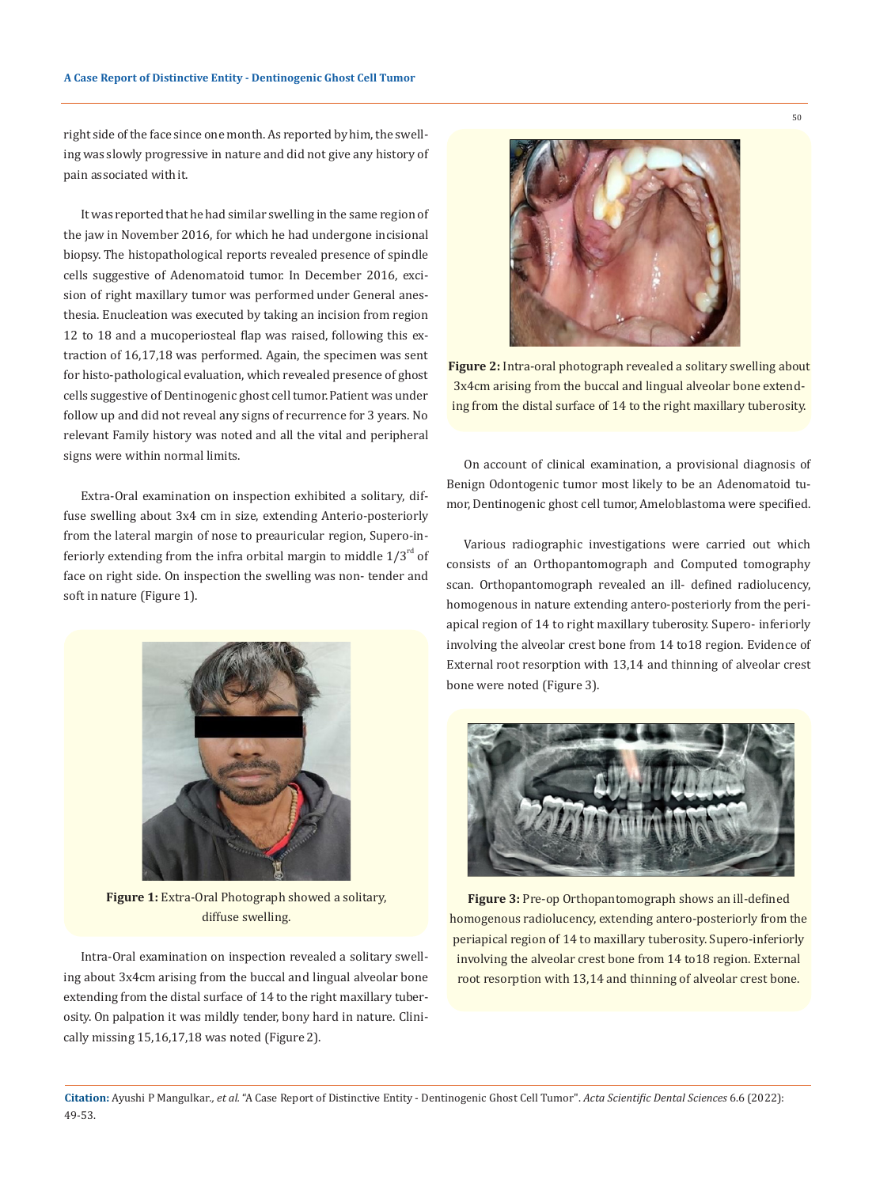right side of the face since one month. As reported by him, the swelling was slowly progressive in nature and did not give any history of pain associated with it.

It was reported that he had similar swelling in the same region of the jaw in November 2016, for which he had undergone incisional biopsy. The histopathological reports revealed presence of spindle cells suggestive of Adenomatoid tumor. In December 2016, excision of right maxillary tumor was performed under General anesthesia. Enucleation was executed by taking an incision from region 12 to 18 and a mucoperiosteal flap was raised, following this extraction of 16,17,18 was performed. Again, the specimen was sent for histo-pathological evaluation, which revealed presence of ghost cells suggestive of Dentinogenic ghost cell tumor. Patient was under follow up and did not reveal any signs of recurrence for 3 years. No relevant Family history was noted and all the vital and peripheral signs were within normal limits.

Extra-Oral examination on inspection exhibited a solitary, diffuse swelling about 3x4 cm in size, extending Anterio-posteriorly from the lateral margin of nose to preauricular region, Supero-inferiorly extending from the infra orbital margin to middle  $1/3^{rd}$  of face on right side. On inspection the swelling was non- tender and soft in nature (Figure 1).



**Figure 1:** Extra-Oral Photograph showed a solitary, diffuse swelling.

Intra-Oral examination on inspection revealed a solitary swelling about 3x4cm arising from the buccal and lingual alveolar bone extending from the distal surface of 14 to the right maxillary tuberosity. On palpation it was mildly tender, bony hard in nature. Clinically missing 15,16,17,18 was noted (Figure 2).



**Figure 2:** Intra-oral photograph revealed a solitary swelling about 3x4cm arising from the buccal and lingual alveolar bone extending from the distal surface of 14 to the right maxillary tuberosity.

On account of clinical examination, a provisional diagnosis of Benign Odontogenic tumor most likely to be an Adenomatoid tumor, Dentinogenic ghost cell tumor, Ameloblastoma were specified.

Various radiographic investigations were carried out which consists of an Orthopantomograph and Computed tomography scan. Orthopantomograph revealed an ill- defined radiolucency, homogenous in nature extending antero-posteriorly from the periapical region of 14 to right maxillary tuberosity. Supero- inferiorly involving the alveolar crest bone from 14 to18 region. Evidence of External root resorption with 13,14 and thinning of alveolar crest bone were noted (Figure 3).



**Figure 3:** Pre-op Orthopantomograph shows an ill-defined homogenous radiolucency, extending antero-posteriorly from the periapical region of 14 to maxillary tuberosity. Supero-inferiorly involving the alveolar crest bone from 14 to18 region. External root resorption with 13,14 and thinning of alveolar crest bone.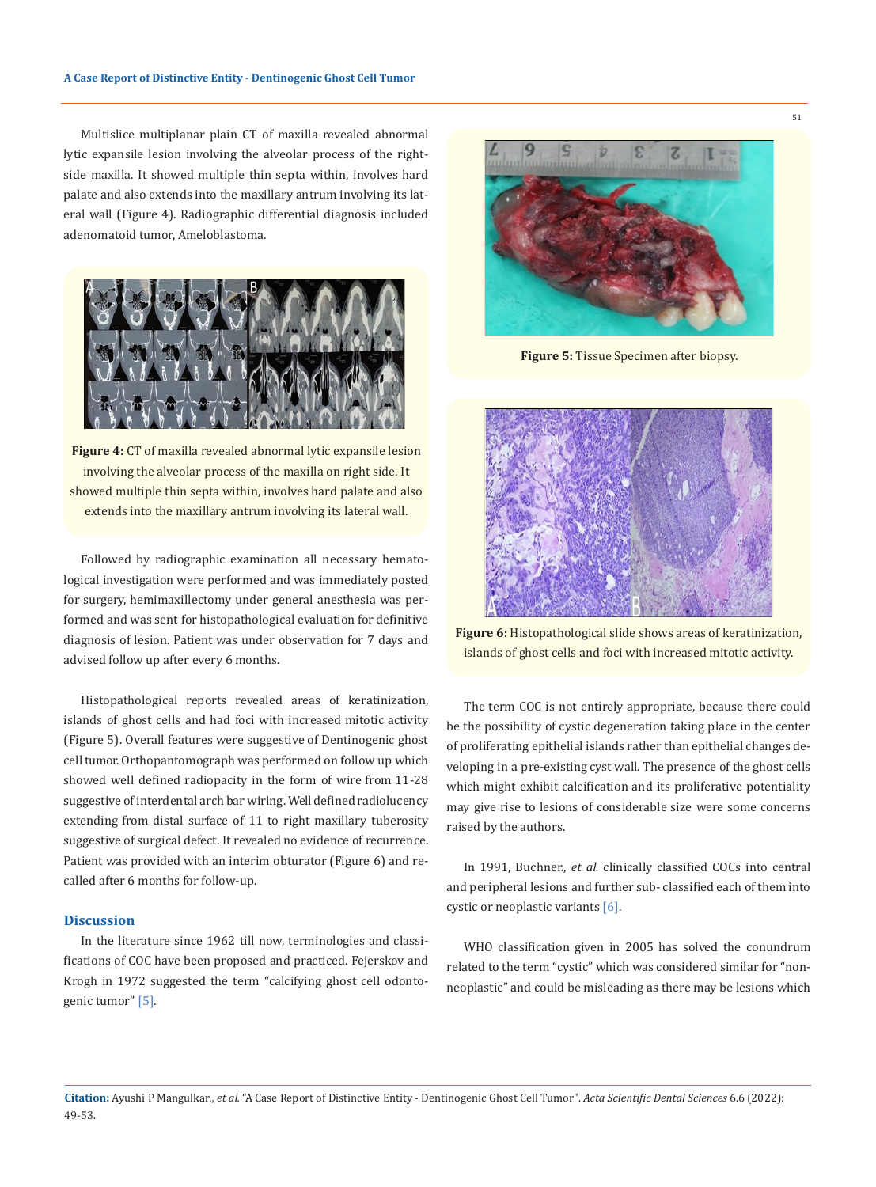Multislice multiplanar plain CT of maxilla revealed abnormal lytic expansile lesion involving the alveolar process of the rightside maxilla. It showed multiple thin septa within, involves hard palate and also extends into the maxillary antrum involving its lateral wall (Figure 4). Radiographic differential diagnosis included adenomatoid tumor, Ameloblastoma.



**Figure 4:** CT of maxilla revealed abnormal lytic expansile lesion involving the alveolar process of the maxilla on right side. It showed multiple thin septa within, involves hard palate and also extends into the maxillary antrum involving its lateral wall.

Followed by radiographic examination all necessary hematological investigation were performed and was immediately posted for surgery, hemimaxillectomy under general anesthesia was performed and was sent for histopathological evaluation for definitive diagnosis of lesion. Patient was under observation for 7 days and advised follow up after every 6 months.

Histopathological reports revealed areas of keratinization, islands of ghost cells and had foci with increased mitotic activity (Figure 5). Overall features were suggestive of Dentinogenic ghost cell tumor. Orthopantomograph was performed on follow up which showed well defined radiopacity in the form of wire from 11-28 suggestive of interdental arch bar wiring. Well defined radiolucency extending from distal surface of 11 to right maxillary tuberosity suggestive of surgical defect. It revealed no evidence of recurrence. Patient was provided with an interim obturator (Figure 6) and recalled after 6 months for follow-up.

#### **Discussion**

In the literature since 1962 till now, terminologies and classifications of COC have been proposed and practiced. Fejerskov and Krogh in 1972 suggested the term "calcifying ghost cell odontogenic tumor" [5].



**Figure 5:** Tissue Specimen after biopsy.



**Figure 6:** Histopathological slide shows areas of keratinization, islands of ghost cells and foci with increased mitotic activity.

The term COC is not entirely appropriate, because there could be the possibility of cystic degeneration taking place in the center of proliferating epithelial islands rather than epithelial changes developing in a pre-existing cyst wall. The presence of the ghost cells which might exhibit calcification and its proliferative potentiality may give rise to lesions of considerable size were some concerns raised by the authors.

In 1991, Buchner., *et al.* clinically classified COCs into central and peripheral lesions and further sub- classified each of them into cystic or neoplastic variants [6].

WHO classification given in 2005 has solved the conundrum related to the term "cystic" which was considered similar for "nonneoplastic" and could be misleading as there may be lesions which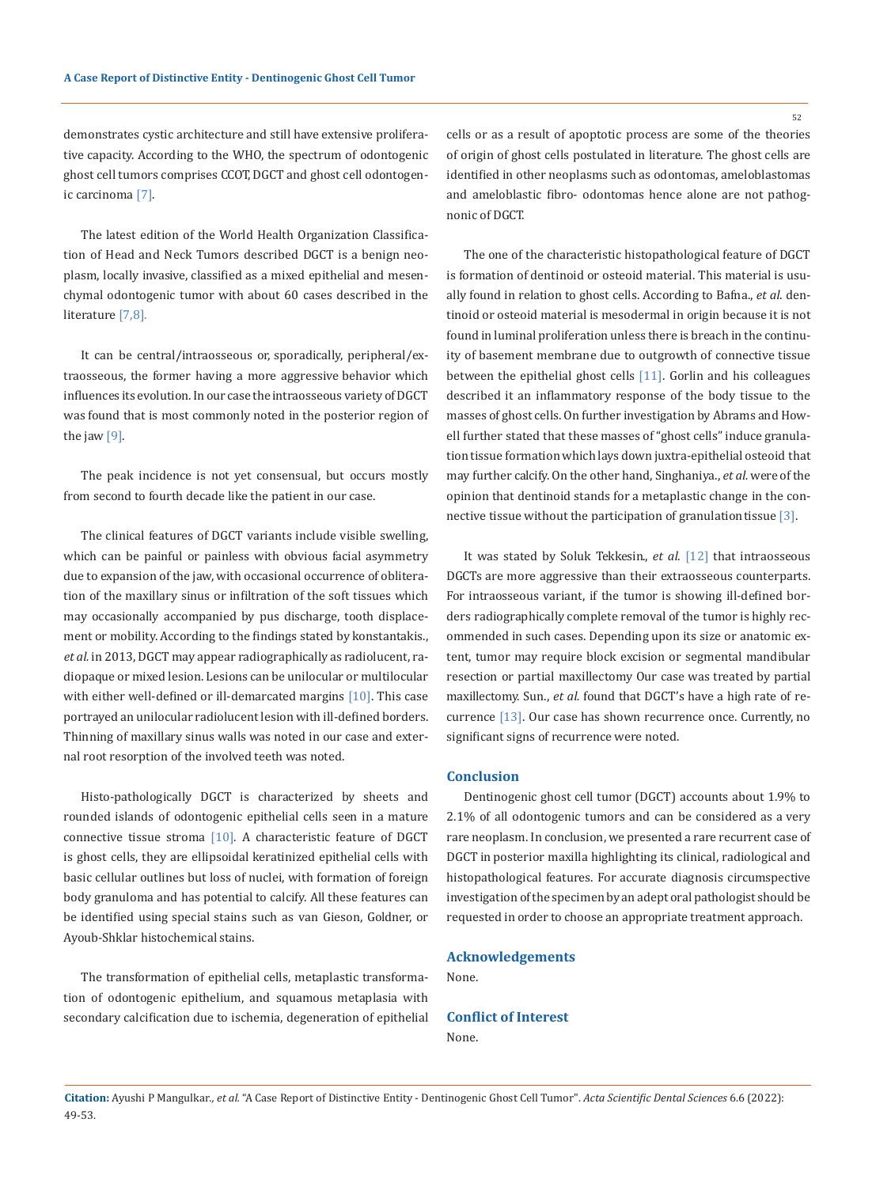demonstrates cystic architecture and still have extensive proliferative capacity. According to the WHO, the spectrum of odontogenic ghost cell tumors comprises CCOT, DGCT and ghost cell odontogenic carcinoma [7].

The latest edition of the World Health Organization Classification of Head and Neck Tumors described DGCT is a benign neoplasm, locally invasive, classified as a mixed epithelial and mesenchymal odontogenic tumor with about 60 cases described in the literature [7,8].

It can be central/intraosseous or, sporadically, peripheral/extraosseous, the former having a more aggressive behavior which influences its evolution. In our case the intraosseous variety of DGCT was found that is most commonly noted in the posterior region of the jaw  $[9]$ .

The peak incidence is not yet consensual, but occurs mostly from second to fourth decade like the patient in our case.

The clinical features of DGCT variants include visible swelling, which can be painful or painless with obvious facial asymmetry due to expansion of the jaw, with occasional occurrence of obliteration of the maxillary sinus or infiltration of the soft tissues which may occasionally accompanied by pus discharge, tooth displacement or mobility. According to the findings stated by konstantakis., *et al.* in 2013, DGCT may appear radiographically as radiolucent, radiopaque or mixed lesion. Lesions can be unilocular or multilocular with either well-defined or ill-demarcated margins  $[10]$ . This case portrayed an unilocular radiolucent lesion with ill-defined borders. Thinning of maxillary sinus walls was noted in our case and external root resorption of the involved teeth was noted.

Histo-pathologically DGCT is characterized by sheets and rounded islands of odontogenic epithelial cells seen in a mature connective tissue stroma [10]. A characteristic feature of DGCT is ghost cells, they are ellipsoidal keratinized epithelial cells with basic cellular outlines but loss of nuclei, with formation of foreign body granuloma and has potential to calcify. All these features can be identified using special stains such as van Gieson, Goldner, or Ayoub-Shklar histochemical stains.

The transformation of epithelial cells, metaplastic transformation of odontogenic epithelium, and squamous metaplasia with secondary calcification due to ischemia, degeneration of epithelial cells or as a result of apoptotic process are some of the theories of origin of ghost cells postulated in literature. The ghost cells are identified in other neoplasms such as odontomas, ameloblastomas and ameloblastic fibro- odontomas hence alone are not pathognonic of DGCT.

The one of the characteristic histopathological feature of DGCT is formation of dentinoid or osteoid material. This material is usually found in relation to ghost cells. According to Bafna., *et al*. dentinoid or osteoid material is mesodermal in origin because it is not found in luminal proliferation unless there is breach in the continuity of basement membrane due to outgrowth of connective tissue between the epithelial ghost cells [11]. Gorlin and his colleagues described it an inflammatory response of the body tissue to the masses of ghost cells. On further investigation by Abrams and Howell further stated that these masses of "ghost cells" induce granulation tissue formation which lays down juxtra-epithelial osteoid that may further calcify. On the other hand, Singhaniya., *et al.* were of the opinion that dentinoid stands for a metaplastic change in the connective tissue without the participation of granulation tissue [3].

It was stated by Soluk Tekkesin., *et al*. [12] that intraosseous DGCTs are more aggressive than their extraosseous counterparts. For intraosseous variant, if the tumor is showing ill-defined borders radiographically complete removal of the tumor is highly recommended in such cases. Depending upon its size or anatomic extent, tumor may require block excision or segmental mandibular resection or partial maxillectomy Our case was treated by partial maxillectomy. Sun., *et al.* found that DGCT's have a high rate of recurrence [13]. Our case has shown recurrence once. Currently, no significant signs of recurrence were noted.

#### **Conclusion**

Dentinogenic ghost cell tumor (DGCT) accounts about 1.9% to 2.1% of all odontogenic tumors and can be considered as a very rare neoplasm. In conclusion, we presented a rare recurrent case of DGCT in posterior maxilla highlighting its clinical, radiological and histopathological features. For accurate diagnosis circumspective investigation of the specimen by an adept oral pathologist should be requested in order to choose an appropriate treatment approach.

## **Acknowledgements**

None.

**Conflict of Interest** None.

52

**Citation:** Ayushi P Mangulkar*., et al.* "A Case Report of Distinctive Entity - Dentinogenic Ghost Cell Tumor". *Acta Scientific Dental Sciences* 6.6 (2022): 49-53.